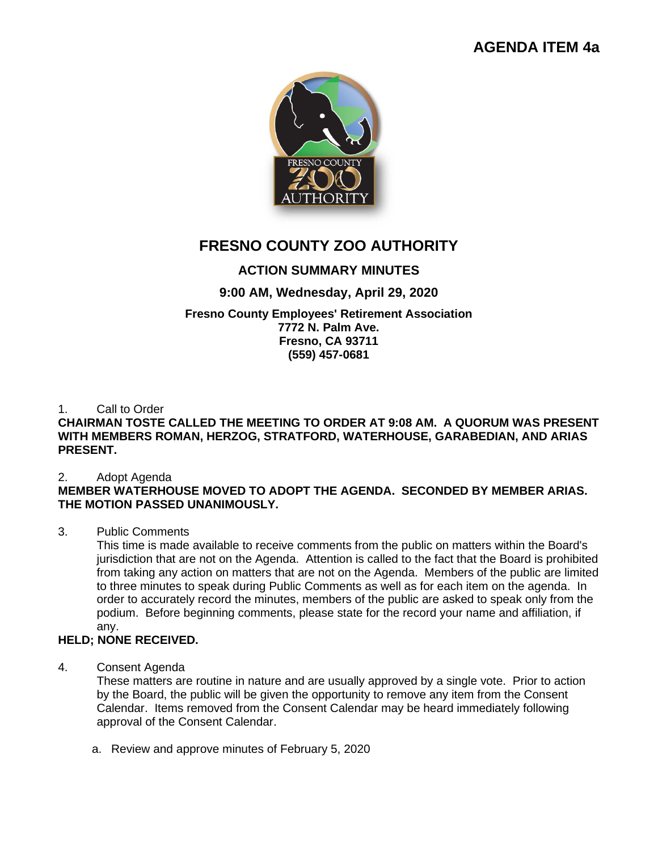# **AGENDA ITEM 4a**



# **FRESNO COUNTY ZOO AUTHORITY**

# **ACTION SUMMARY MINUTES**

# **9:00 AM, Wednesday, April 29, 2020**

#### **Fresno County Employees' Retirement Association 7772 N. Palm Ave. Fresno, CA 93711 (559) 457-0681**

## 1. Call to Order

# **CHAIRMAN TOSTE CALLED THE MEETING TO ORDER AT 9:08 AM. A QUORUM WAS PRESENT WITH MEMBERS ROMAN, HERZOG, STRATFORD, WATERHOUSE, GARABEDIAN, AND ARIAS PRESENT.**

## 2. Adopt Agenda

# **MEMBER WATERHOUSE MOVED TO ADOPT THE AGENDA. SECONDED BY MEMBER ARIAS. THE MOTION PASSED UNANIMOUSLY.**

# 3. Public Comments

This time is made available to receive comments from the public on matters within the Board's jurisdiction that are not on the Agenda. Attention is called to the fact that the Board is prohibited from taking any action on matters that are not on the Agenda. Members of the public are limited to three minutes to speak during Public Comments as well as for each item on the agenda. In order to accurately record the minutes, members of the public are asked to speak only from the podium. Before beginning comments, please state for the record your name and affiliation, if any.

# **HELD; NONE RECEIVED.**

## 4. Consent Agenda

These matters are routine in nature and are usually approved by a single vote. Prior to action by the Board, the public will be given the opportunity to remove any item from the Consent Calendar. Items removed from the Consent Calendar may be heard immediately following approval of the Consent Calendar.

a. Review and approve minutes of February 5, 2020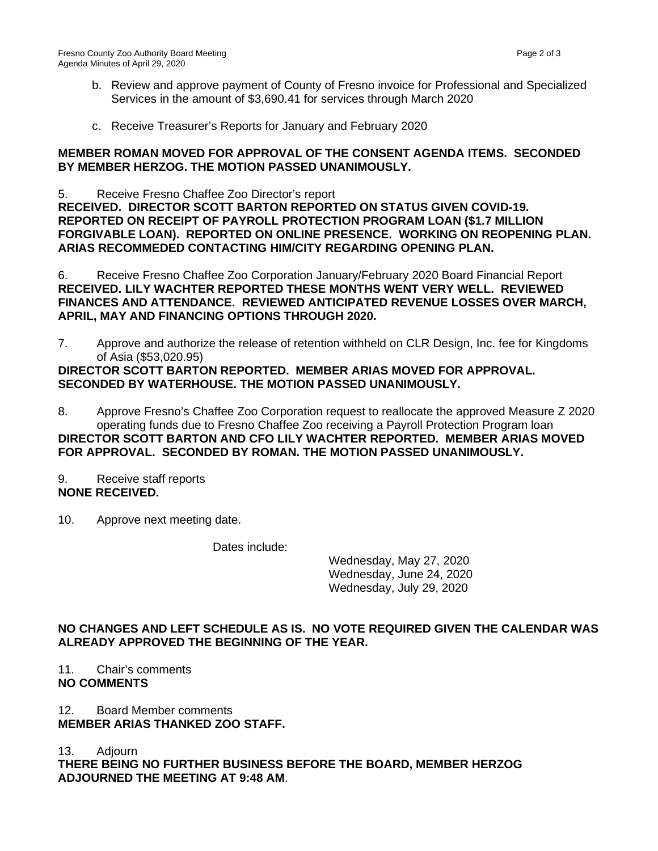- b. Review and approve payment of County of Fresno invoice for Professional and Specialized Services in the amount of \$3,690.41 for services through March 2020
- c. Receive Treasurer's Reports for January and February 2020

#### **MEMBER ROMAN MOVED FOR APPROVAL OF THE CONSENT AGENDA ITEMS. SECONDED BY MEMBER HERZOG. THE MOTION PASSED UNANIMOUSLY.**

5. Receive Fresno Chaffee Zoo Director's report **RECEIVED. DIRECTOR SCOTT BARTON REPORTED ON STATUS GIVEN COVID-19. REPORTED ON RECEIPT OF PAYROLL PROTECTION PROGRAM LOAN (\$1.7 MILLION FORGIVABLE LOAN). REPORTED ON ONLINE PRESENCE. WORKING ON REOPENING PLAN. ARIAS RECOMMEDED CONTACTING HIM/CITY REGARDING OPENING PLAN.** 

6. Receive Fresno Chaffee Zoo Corporation January/February 2020 Board Financial Report **RECEIVED. LILY WACHTER REPORTED THESE MONTHS WENT VERY WELL. REVIEWED FINANCES AND ATTENDANCE. REVIEWED ANTICIPATED REVENUE LOSSES OVER MARCH, APRIL, MAY AND FINANCING OPTIONS THROUGH 2020.**

7. Approve and authorize the release of retention withheld on CLR Design, Inc. fee for Kingdoms of Asia (\$53,020.95)

#### **DIRECTOR SCOTT BARTON REPORTED. MEMBER ARIAS MOVED FOR APPROVAL. SECONDED BY WATERHOUSE. THE MOTION PASSED UNANIMOUSLY.**

8. Approve Fresno's Chaffee Zoo Corporation request to reallocate the approved Measure Z 2020 operating funds due to Fresno Chaffee Zoo receiving a Payroll Protection Program loan **DIRECTOR SCOTT BARTON AND CFO LILY WACHTER REPORTED. MEMBER ARIAS MOVED FOR APPROVAL. SECONDED BY ROMAN. THE MOTION PASSED UNANIMOUSLY.**

- 9. Receive staff reports **NONE RECEIVED.**
- 10. Approve next meeting date.

Dates include:

Wednesday, May 27, 2020 Wednesday, June 24, 2020 Wednesday, July 29, 2020

## **NO CHANGES AND LEFT SCHEDULE AS IS. NO VOTE REQUIRED GIVEN THE CALENDAR WAS ALREADY APPROVED THE BEGINNING OF THE YEAR.**

#### 11. Chair's comments **NO COMMENTS**

12. Board Member comments **MEMBER ARIAS THANKED ZOO STAFF.** 

13. Adjourn

**THERE BEING NO FURTHER BUSINESS BEFORE THE BOARD, MEMBER HERZOG ADJOURNED THE MEETING AT 9:48 AM**.